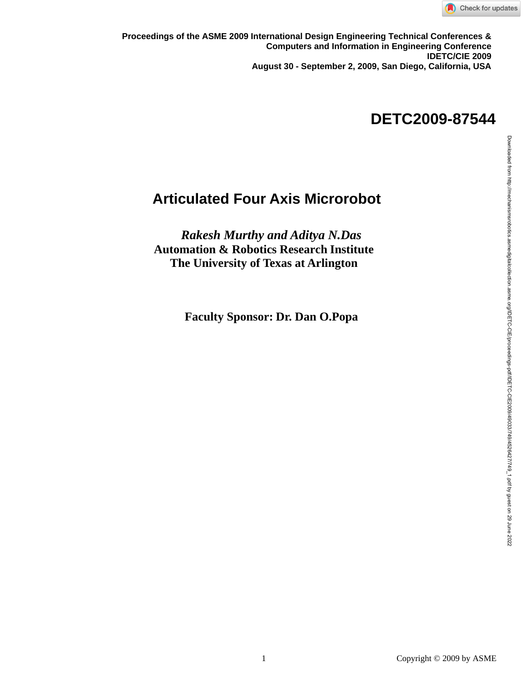

August 30 - September 2, 2009, San Diego, California, USA<br>. **Proceedings of the ASME 2009 International Design Engineering Technical Conferences & Computers and Information in Engineering Conference IDETC/CIE 2009** 

## **August 30- September 02, 2009, San Diego, USA DETC2009-87544**

## **Articulated Four Axis Microrobot**

*Rakesh Murthy and Aditya N.Das* **Automation & Robotics Research Institute The University of Texas at Arlington**

 **Faculty Sponsor: Dr. Dan O.Popa**